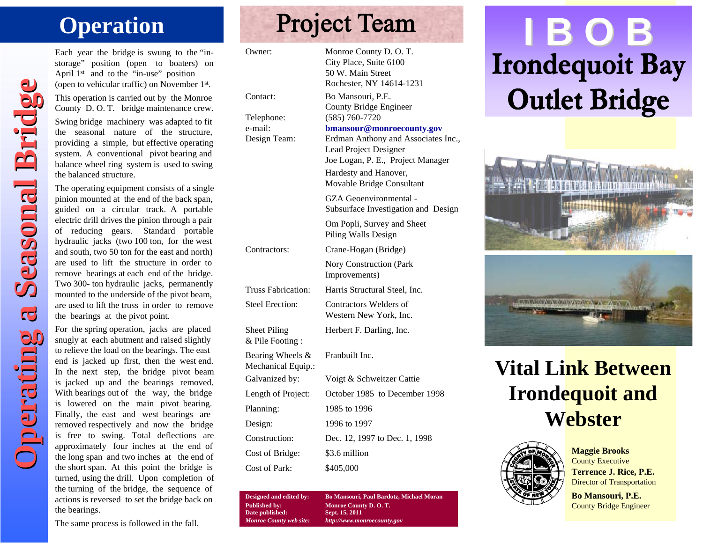Each year the bridge is swung to the "instorage" position (open to boaters) on April 1<sup>st</sup> and to the "in-use" position (open to vehicular traffic) on November 1st. This operation is carried out by the Monroe

County D. O. T. bridge maintenance crew.

Swing bridge machinery was adapted to fit the seasonal nature of the structure, providing a simple, but effective operating system. A conventional pivot bearing and balance wheel ring system is used to swing the balanced structure.

The operating equipment consists of a single pinion mounted at the end of the back span, guided on a circular track. A portable electric drill drives the pinion through a pair of reducing gears. Standard portable hydraulic jacks (two 100 ton, for the west and south, two 50 ton for the east and north) are used to lift the structure in order to remove bearings at each end of the bridge. Two 300- ton hydraulic jacks, permanently mounted to the underside of the pivot beam, are used to lift the truss in order to remove the bearings at the pivot point.

For the spring operation, jacks are placed snugly at each abutment and raised slightly to relieve the load on the bearings. The east end is jacked up first, then the west end. In the next step, the bridge pivot beam is jacked up and the bearings removed. With bearings out of the way, the bridge is lowered on the main pivot bearing. Finally, the east and west bearings are removed respectively and now the bridge is free to swing. Total deflections are approximately four inches at the end of the long span and two inches at the end of the short span. At this point the bridge is turned, using the drill. Upon completion of the turning of the bridge, the sequence of actions is reversed to set the bridge back on the bearings.

## The same process is followed in the fall.

**Operation Seasonal Bridge Counter of the control in the season and the season and the counter of the control in the season and the control in the season and the control in the season and the control in the season and the** Owner: Monroe County D. O. T. City Place, Suite 6100 50 W. Main Street Rochester, NY 14614-1231 Contact: Bo Mansouri, P.E. County Bridge Engineer Telephone: (585) 760-7720 e-mail: **bmansour@monroecounty.gov** Design Team: Erdman Anthony and Associates Inc., Lead Project Designer Joe Logan, P. E., Project Manager Hardesty and Hanover, Movable Bridge Consultant GZA Geoenvironmental - Subsurface Investigation and Design Om Popli, Survey and Sheet Piling Walls Design Contractors: Crane-Hogan (Bridge) Nory Construction (Park Improvements) Truss Fabrication: Harris Structural Steel, Inc. Steel Erection: Contractors Welders of Western New York, Inc. Sheet Piling Herbert F. Darling, Inc. & Pile Footing : Bearing Wheels & Franbuilt Inc. Mechanical Equip.: Galvanized by: Voigt & Schweitzer Cattie Length of Project: October 1985 to December 1998 Planning: 1985 to 1996 Design: 1996 to 1997 Construction: Dec. 12, 1997 to Dec. 1, 1998 Cost of Bridge: \$3.6 million Cost of Park: \$405,000

> **Designed and edited by: Bo Mansouri, Paul Bardotz, Michael Moran Published by:**<br> **Date published:**<br> **Published:**<br> **Published:**<br> **Published:**<br> **Published:**<br> **Published:**  $Date$  published: *Monroe County web site: http://www.monroecounty.gov*

# **Operation**<br>
Each year the bridge is swung to the "in-<br>
Sech year the bridge is swung to the "in-<br>
April 1st and to the "in-use" position<br>
April 1st and to the "in-use" position<br>
April 1st and to the "in-use" position







**Maggie Brooks** County Executive **Terrence J. Rice, P.E.** Director of Transportation

**Bo Mansouri, P.E.** County Bridge Engineer